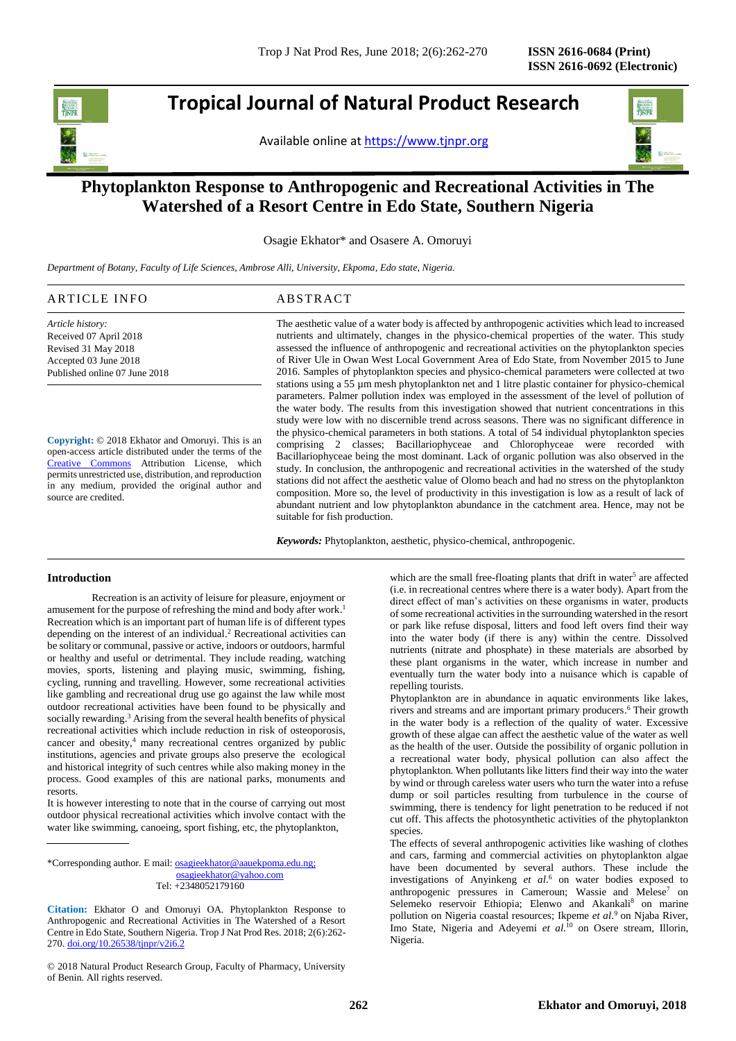j

**Tropical Journal of Natural Product Research**

Available online at [https://www.tjnpr.org](https://www.tjnpr.org/)



# **Phytoplankton Response to Anthropogenic and Recreational Activities in The Watershed of a Resort Centre in Edo State, Southern Nigeria**

Osagie Ekhator\* and Osasere A. Omoruyi

*Department of Botany, Faculty of Life Sciences, Ambrose Alli, University, Ekpoma, Edo state, Nigeria.*

| ARTICLE INFO                  | ABSTRACT                                                                                            |
|-------------------------------|-----------------------------------------------------------------------------------------------------|
| Article history:              | The aesthetic value of a water body is affected by anthropogenic activities which lead to increased |
| Received 07 April 2018        | nutrients and ultimately, changes in the physico-chemical properties of the water. This study       |
| Revised 31 May 2018           | assessed the influence of anthropogenic and recreational activities on the phytoplankton species    |
| Accepted 03 June 2018         | of River Ule in Owan West Local Government Area of Edo State, from November 2015 to June            |
| Published online 07 June 2018 | 2016. Samples of phytoplankton species and physico-chemical parameters were collected at two        |
|                               | stations using a 55 µm mesh phytoplankton net and 1 litre plastic container for physico-chemical    |
|                               | parameters. Palmer pollution index was employed in the assessment of the level of pollution of      |
|                               | the water hady. The reculta from this investigation showed that mutricut concentrations in this     |

**Copyright:** © 2018 Ekhator and Omoruyi. This is an open-access article distributed under the terms of the [Creative Commons](https://creativecommons.org/licenses/by/4.0/) Attribution License, which permits unrestricted use, distribution, and reproduction in any medium, provided the original author and source are credited.

the water body. The results from this investigation showed that nutrient concentrations in this study were low with no discernible trend across seasons. There was no significant difference in the physico-chemical parameters in both stations. A total of 54 individual phytoplankton species comprising 2 classes; Bacillariophyceae and Chlorophyceae were recorded with Bacillariophyceae being the most dominant. Lack of organic pollution was also observed in the study. In conclusion, the anthropogenic and recreational activities in the watershed of the study stations did not affect the aesthetic value of Olomo beach and had no stress on the phytoplankton composition. More so, the level of productivity in this investigation is low as a result of lack of abundant nutrient and low phytoplankton abundance in the catchment area. Hence, may not be suitable for fish production.

*Keywords:* Phytoplankton, aesthetic, physico-chemical, anthropogenic.

# **Introduction**

Recreation is an activity of leisure for pleasure, enjoyment or amusement for the purpose of refreshing the mind and body after work. 1 Recreation which is an important part of human life is of different types depending on the interest of an individual. <sup>2</sup> Recreational activities can be solitary or communal, passive or active, indoors or outdoors, harmful or healthy and useful or detrimental. They include reading, watching movies, sports, listening and playing music, swimming, fishing, cycling, running and travelling. However, some recreational activities like gambling and recreational drug use go against the law while most outdoor recreational activities have been found to be physically and socially rewarding. <sup>3</sup> Arising from the several health benefits of physical recreational activities which include reduction in risk of osteoporosis, cancer and obesity, <sup>4</sup> many recreational centres organized by public institutions, agencies and private groups also preserve the ecological and historical integrity of such centres while also making money in the process. Good examples of this are national parks, monuments and resorts.

It is however interesting to note that in the course of carrying out most outdoor physical recreational activities which involve contact with the water like swimming, canoeing, sport fishing, etc, the phytoplankton,

\*Corresponding author. E mail[: osagieekhator@aauekpoma.edu.ng;](mailto:osagieekhator@aauekpoma.edu.ng) [osagieekhator@yahoo.com](mailto:osagieekhator@yahoo.com) Tel: +2348052179160

**Citation:** Ekhator O and Omoruyi OA. Phytoplankton Response to Anthropogenic and Recreational Activities in The Watershed of a Resort Centre in Edo State, Southern Nigeria. Trop J Nat Prod Res. 2018; 2(6):262- 270. [doi.org/10.26538/tjnpr/v2i6.2](http://www.doi.org/10.26538/tjnpr/v1i4.5)

© 2018 Natural Product Research Group, Faculty of Pharmacy, University of Benin. All rights reserved.

which are the small free-floating plants that drift in water<sup>5</sup> are affected (i.e. in recreational centres where there is a water body). Apart from the direct effect of man's activities on these organisms in water, products of some recreational activities in the surrounding watershed in the resort or park like refuse disposal, litters and food left overs find their way into the water body (if there is any) within the centre. Dissolved nutrients (nitrate and phosphate) in these materials are absorbed by these plant organisms in the water, which increase in number and eventually turn the water body into a nuisance which is capable of repelling tourists.

Phytoplankton are in abundance in aquatic environments like lakes, rivers and streams and are important primary producers. <sup>6</sup> Their growth in the water body is a reflection of the quality of water. Excessive growth of these algae can affect the aesthetic value of the water as well as the health of the user. Outside the possibility of organic pollution in a recreational water body, physical pollution can also affect the phytoplankton. When pollutants like litters find their way into the water by wind or through careless water users who turn the water into a refuse dump or soil particles resulting from turbulence in the course of swimming, there is tendency for light penetration to be reduced if not cut off. This affects the photosynthetic activities of the phytoplankton species.

The effects of several anthropogenic activities like washing of clothes and cars, farming and commercial activities on phytoplankton algae have been documented by several authors. These include the investigations of Anyinkeng *et al*. <sup>6</sup> on water bodies exposed to anthropogenic pressures in Cameroun; Wassie and Melese<sup>7</sup> on Selemeko reservoir Ethiopia; Elenwo and Akankali<sup>8</sup> on marine pollution on Nigeria coastal resources; Ikpeme *et al*. <sup>9</sup> on Njaba River, Imo State, Nigeria and Adeyemi et al.<sup>10</sup> on Osere stream, Illorin, Nigeria.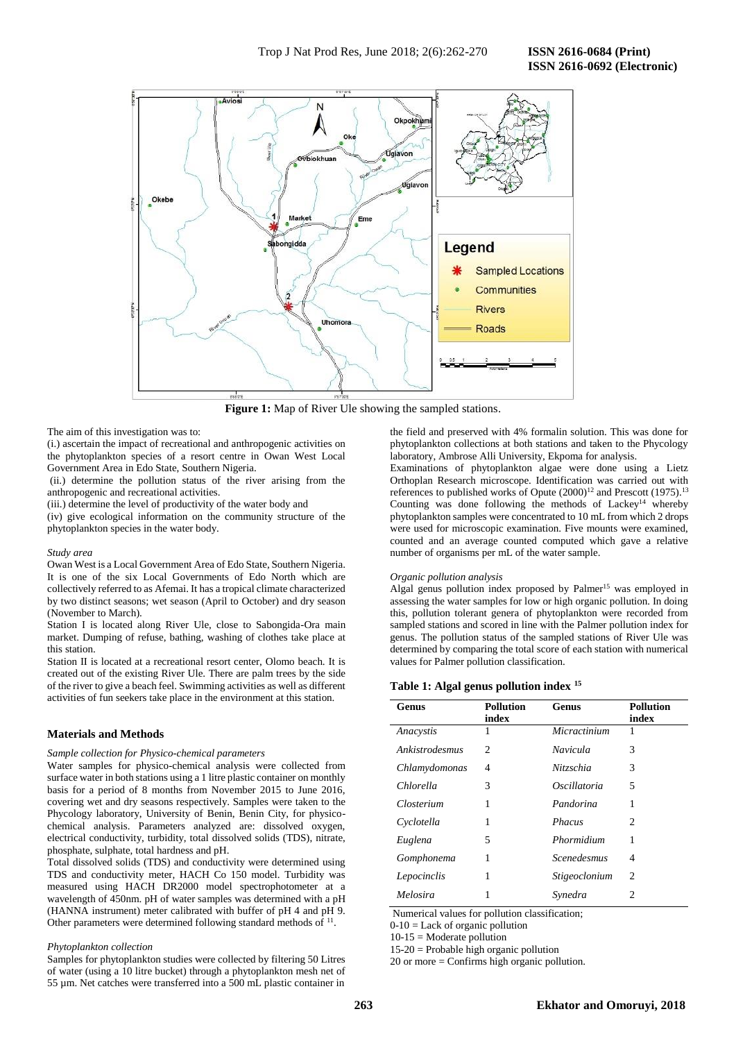

**Figure 1:** Map of River Ule showing the sampled stations.

#### The aim of this investigation was to:

(i.) ascertain the impact of recreational and anthropogenic activities on the phytoplankton species of a resort centre in Owan West Local Government Area in Edo State, Southern Nigeria.

(ii.) determine the pollution status of the river arising from the anthropogenic and recreational activities.

(iii.) determine the level of productivity of the water body and

(iv) give ecological information on the community structure of the phytoplankton species in the water body.

#### *Study area*

Owan West is a Local Government Area of Edo State, Southern Nigeria. It is one of the six Local Governments of Edo North which are collectively referred to as Afemai. It has a tropical climate characterized by two distinct seasons; wet season (April to October) and dry season (November to March).

Station I is located along River Ule, close to Sabongida-Ora main market. Dumping of refuse, bathing, washing of clothes take place at this station.

Station II is located at a recreational resort center, Olomo beach. It is created out of the existing River Ule. There are palm trees by the side of the river to give a beach feel. Swimming activities as well as different activities of fun seekers take place in the environment at this station.

## **Materials and Methods**

#### *Sample collection for Physico-chemical parameters*

Water samples for physico-chemical analysis were collected from surface water in both stations using a 1 litre plastic container on monthly basis for a period of 8 months from November 2015 to June 2016, covering wet and dry seasons respectively. Samples were taken to the Phycology laboratory, University of Benin, Benin City, for physicochemical analysis. Parameters analyzed are: dissolved oxygen, electrical conductivity, turbidity, total dissolved solids (TDS), nitrate, phosphate, sulphate, total hardness and pH.

Total dissolved solids (TDS) and conductivity were determined using TDS and conductivity meter, HACH Co 150 model. Turbidity was measured using HACH DR2000 model spectrophotometer at a wavelength of 450nm. pH of water samples was determined with a pH (HANNA instrument) meter calibrated with buffer of pH 4 and pH 9. Other parameters were determined following standard methods of <sup>11</sup>.

#### *Phytoplankton collection*

Samples for phytoplankton studies were collected by filtering 50 Litres of water (using a 10 litre bucket) through a phytoplankton mesh net of 55 µm. Net catches were transferred into a 500 mL plastic container in

the field and preserved with 4% formalin solution. This was done for phytoplankton collections at both stations and taken to the Phycology laboratory, Ambrose Alli University, Ekpoma for analysis.

Examinations of phytoplankton algae were done using a Lietz Orthoplan Research microscope. Identification was carried out with references to published works of Opute  $(2000)^{12}$  and Prescott  $(1975)^{13}$ Counting was done following the methods of Lackey<sup>14</sup> whereby phytoplankton samples were concentrated to 10 mL from which 2 drops were used for microscopic examination. Five mounts were examined, counted and an average counted computed which gave a relative number of organisms per mL of the water sample.

#### *Organic pollution analysis*

Algal genus pollution index proposed by Palmer<sup>15</sup> was employed in assessing the water samples for low or high organic pollution. In doing this, pollution tolerant genera of phytoplankton were recorded from sampled stations and scored in line with the Palmer pollution index for genus. The pollution status of the sampled stations of River Ule was determined by comparing the total score of each station with numerical values for Palmer pollution classification.

#### **Table 1: Algal genus pollution index <sup>15</sup>**

| Genus          | <b>Pollution</b><br>index | Genus                              | <b>Pollution</b><br>index |
|----------------|---------------------------|------------------------------------|---------------------------|
| Anacystis      | 1                         | Micractinium                       |                           |
| Ankistrodesmus | 2                         | Navicula                           | 3                         |
| Chlamydomonas  | 4                         | Nitzschia                          | 3                         |
| Chlorella      | 3                         | Oscillatoria                       | 5                         |
| Closterium     | 1                         | Pandorina                          | 1                         |
| Cyclotella     | 1                         | <b>Phacus</b>                      | 2                         |
| Euglena        | 5                         | Phormidium                         | 1                         |
| Gomphonema     | 1                         | <b>Scenedesmus</b>                 | 4                         |
| Lepocinclis    | 1                         | <i><u><b>Stigeoclonium</b></u></i> | 2                         |
| Melosira       | 1                         | Synedra                            | 2                         |

Numerical values for pollution classification;

 $0-10 =$  Lack of organic pollution

 $10-15$  = Moderate pollution

15-20 = Probable high organic pollution

20 or more = Confirms high organic pollution.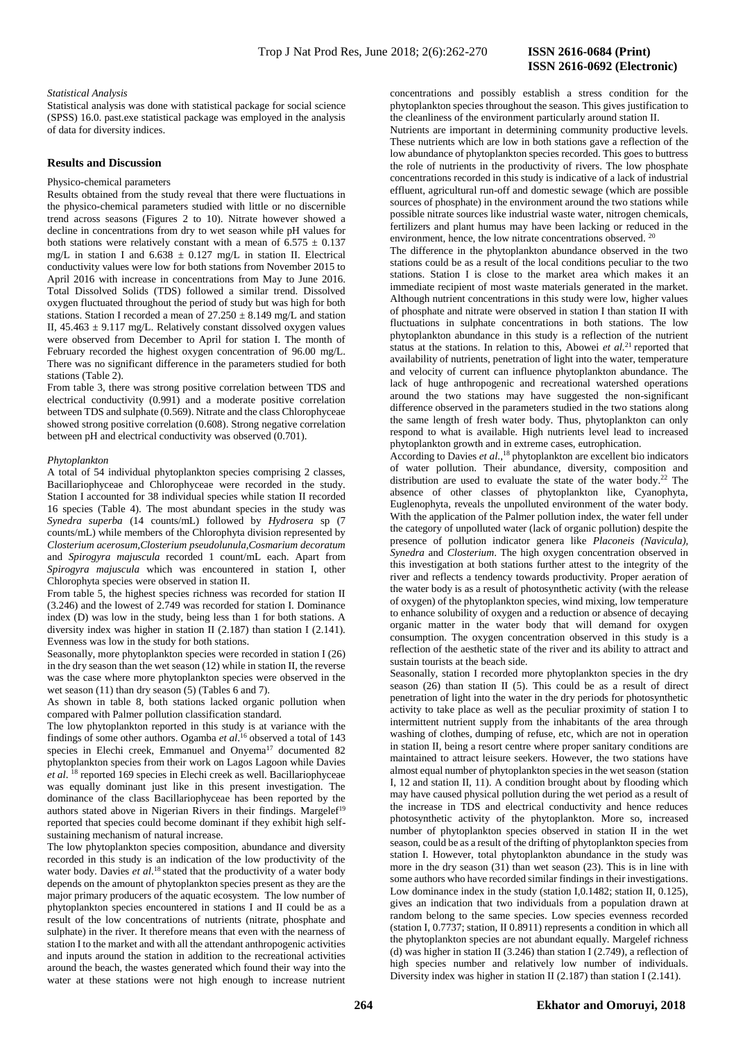# **ISSN 2616-0692 (Electronic)**

#### *Statistical Analysis*

Statistical analysis was done with statistical package for social science (SPSS) 16.0. past.exe statistical package was employed in the analysis of data for diversity indices.

## **Results and Discussion**

## Physico-chemical parameters

Results obtained from the study reveal that there were fluctuations in the physico-chemical parameters studied with little or no discernible trend across seasons (Figures 2 to 10). Nitrate however showed a decline in concentrations from dry to wet season while pH values for both stations were relatively constant with a mean of  $6.575 \pm 0.137$ mg/L in station I and  $6.638 \pm 0.127$  mg/L in station II. Electrical conductivity values were low for both stations from November 2015 to April 2016 with increase in concentrations from May to June 2016. Total Dissolved Solids (TDS) followed a similar trend. Dissolved oxygen fluctuated throughout the period of study but was high for both stations. Station I recorded a mean of  $27.250 \pm 8.149$  mg/L and station II,  $45.463 \pm 9.117$  mg/L. Relatively constant dissolved oxygen values were observed from December to April for station I. The month of February recorded the highest oxygen concentration of 96.00 mg/L. There was no significant difference in the parameters studied for both stations (Table 2).

From table 3, there was strong positive correlation between TDS and electrical conductivity (0.991) and a moderate positive correlation between TDS and sulphate (0.569). Nitrate and the class Chlorophyceae showed strong positive correlation (0.608). Strong negative correlation between pH and electrical conductivity was observed (0.701).

#### *Phytoplankton*

A total of 54 individual phytoplankton species comprising 2 classes, Bacillariophyceae and Chlorophyceae were recorded in the study. Station I accounted for 38 individual species while station II recorded 16 species (Table 4). The most abundant species in the study was *Synedra superba* (14 counts/mL) followed by *Hydrosera* sp (7 counts/mL) while members of the Chlorophyta division represented by *Closterium acerosum,Closterium pseudolunula,Cosmarium decoratum*  and *Spirogyra majuscula* recorded 1 count/mL each. Apart from *Spirogyra majuscula* which was encountered in station I, other Chlorophyta species were observed in station II.

From table 5, the highest species richness was recorded for station II (3.246) and the lowest of 2.749 was recorded for station I. Dominance index (D) was low in the study, being less than 1 for both stations. A diversity index was higher in station II (2.187) than station I (2.141). Evenness was low in the study for both stations.

Seasonally, more phytoplankton species were recorded in station I (26) in the dry season than the wet season (12) while in station II, the reverse was the case where more phytoplankton species were observed in the wet season (11) than dry season (5) (Tables 6 and 7).

As shown in table 8, both stations lacked organic pollution when compared with Palmer pollution classification standard.

The low phytoplankton reported in this study is at variance with the findings of some other authors. Ogamba *et al*. <sup>16</sup> observed a total of 143 species in Elechi creek, Emmanuel and Onyema<sup>17</sup> documented 82 phytoplankton species from their work on Lagos Lagoon while Davies *et al*. <sup>18</sup> reported 169 species in Elechi creek as well. Bacillariophyceae was equally dominant just like in this present investigation. The dominance of the class Bacillariophyceae has been reported by the authors stated above in Nigerian Rivers in their findings. Margelef<sup>19</sup> reported that species could become dominant if they exhibit high selfsustaining mechanism of natural increase.

The low phytoplankton species composition, abundance and diversity recorded in this study is an indication of the low productivity of the water body. Davies et al.<sup>18</sup> stated that the productivity of a water body depends on the amount of phytoplankton species present as they are the major primary producers of the aquatic ecosystem. The low number of phytoplankton species encountered in stations I and II could be as a result of the low concentrations of nutrients (nitrate, phosphate and sulphate) in the river. It therefore means that even with the nearness of station I to the market and with all the attendant anthropogenic activities and inputs around the station in addition to the recreational activities around the beach, the wastes generated which found their way into the water at these stations were not high enough to increase nutrient

concentrations and possibly establish a stress condition for the phytoplankton species throughout the season. This gives justification to the cleanliness of the environment particularly around station II.

Nutrients are important in determining community productive levels. These nutrients which are low in both stations gave a reflection of the low abundance of phytoplankton species recorded. This goes to buttress the role of nutrients in the productivity of rivers. The low phosphate concentrations recorded in this study is indicative of a lack of industrial effluent, agricultural run-off and domestic sewage (which are possible sources of phosphate) in the environment around the two stations while possible nitrate sources like industrial waste water, nitrogen chemicals, fertilizers and plant humus may have been lacking or reduced in the environment, hence, the low nitrate concentrations observed.  $20$ 

The difference in the phytoplankton abundance observed in the two stations could be as a result of the local conditions peculiar to the two stations. Station I is close to the market area which makes it an immediate recipient of most waste materials generated in the market. Although nutrient concentrations in this study were low, higher values of phosphate and nitrate were observed in station I than station II with fluctuations in sulphate concentrations in both stations. The low phytoplankton abundance in this study is a reflection of the nutrient status at the stations. In relation to this, Abowei  $et$   $al$ <sup>21</sup> reported that availability of nutrients, penetration of light into the water, temperature and velocity of current can influence phytoplankton abundance. The lack of huge anthropogenic and recreational watershed operations around the two stations may have suggested the non-significant difference observed in the parameters studied in the two stations along the same length of fresh water body. Thus, phytoplankton can only respond to what is available. High nutrients level lead to increased phytoplankton growth and in extreme cases, eutrophication.

According to Davies *et al*., <sup>18</sup> phytoplankton are excellent bio indicators of water pollution. Their abundance, diversity, composition and distribution are used to evaluate the state of the water body. <sup>22</sup> The absence of other classes of phytoplankton like, Cyanophyta, Euglenophyta, reveals the unpolluted environment of the water body. With the application of the Palmer pollution index, the water fell under the category of unpolluted water (lack of organic pollution) despite the presence of pollution indicator genera like *Placoneis (Navicula), Synedra* and *Closterium*. The high oxygen concentration observed in this investigation at both stations further attest to the integrity of the river and reflects a tendency towards productivity. Proper aeration of the water body is as a result of photosynthetic activity (with the release of oxygen) of the phytoplankton species, wind mixing, low temperature to enhance solubility of oxygen and a reduction or absence of decaying organic matter in the water body that will demand for oxygen consumption. The oxygen concentration observed in this study is a reflection of the aesthetic state of the river and its ability to attract and sustain tourists at the beach side.

Seasonally, station I recorded more phytoplankton species in the dry season (26) than station II (5). This could be as a result of direct penetration of light into the water in the dry periods for photosynthetic activity to take place as well as the peculiar proximity of station I to intermittent nutrient supply from the inhabitants of the area through washing of clothes, dumping of refuse, etc, which are not in operation in station II, being a resort centre where proper sanitary conditions are maintained to attract leisure seekers. However, the two stations have almost equal number of phytoplankton species in the wet season (station I, 12 and station II, 11). A condition brought about by flooding which may have caused physical pollution during the wet period as a result of the increase in TDS and electrical conductivity and hence reduces photosynthetic activity of the phytoplankton. More so, increased number of phytoplankton species observed in station II in the wet season, could be as a result of the drifting of phytoplankton species from station I. However, total phytoplankton abundance in the study was more in the dry season (31) than wet season (23). This is in line with some authors who have recorded similar findings in their investigations. Low dominance index in the study (station I,0.1482; station II, 0.125), gives an indication that two individuals from a population drawn at random belong to the same species. Low species evenness recorded (station I, 0.7737; station, II 0.8911) represents a condition in which all the phytoplankton species are not abundant equally. Margelef richness (d) was higher in station II (3.246) than station I (2.749), a reflection of high species number and relatively low number of individuals. Diversity index was higher in station II (2.187) than station I (2.141).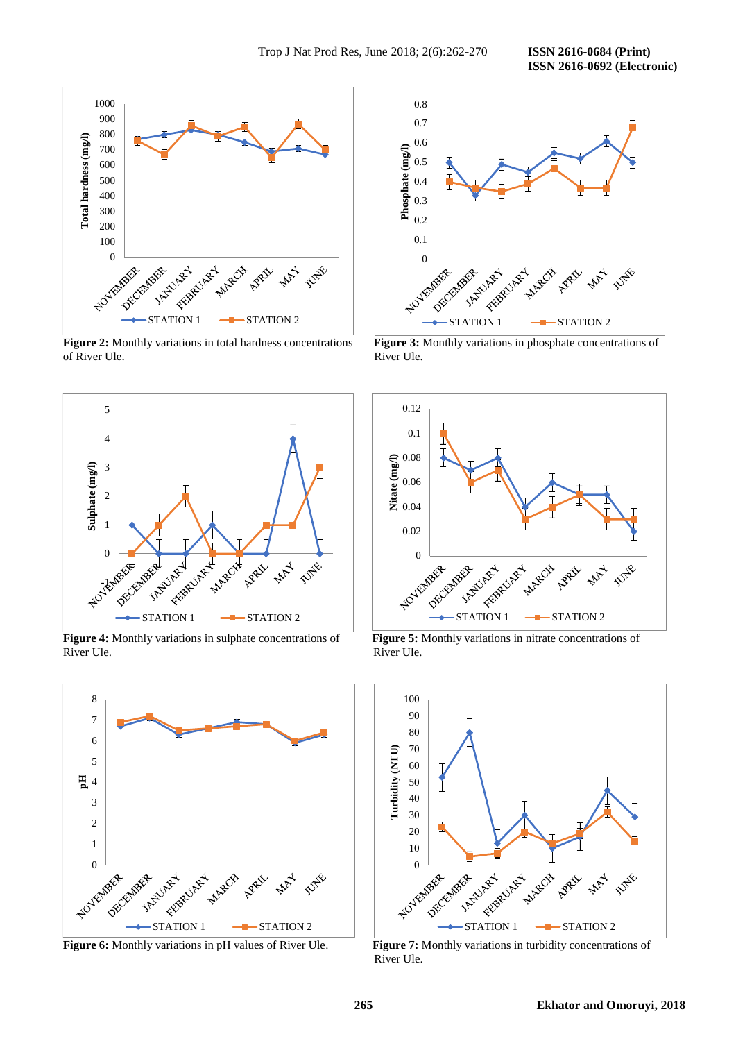**ISSN 2616-0692 (Electronic)** 



of River Ule. River Ule.



**Figure 4:** Monthly variations in sulphate concentrations of **Figure 5:** Monthly variations in nitrate concentrations of River Ule. River Ule.



**Figure 6:** Monthly variations in pH values of River Ule. **Figure 7:** Monthly variations in turbidity concentrations of



**Figure 2:** Monthly variations in total hardness concentrations **Figure 3:** Monthly variations in phosphate concentrations of





River Ule.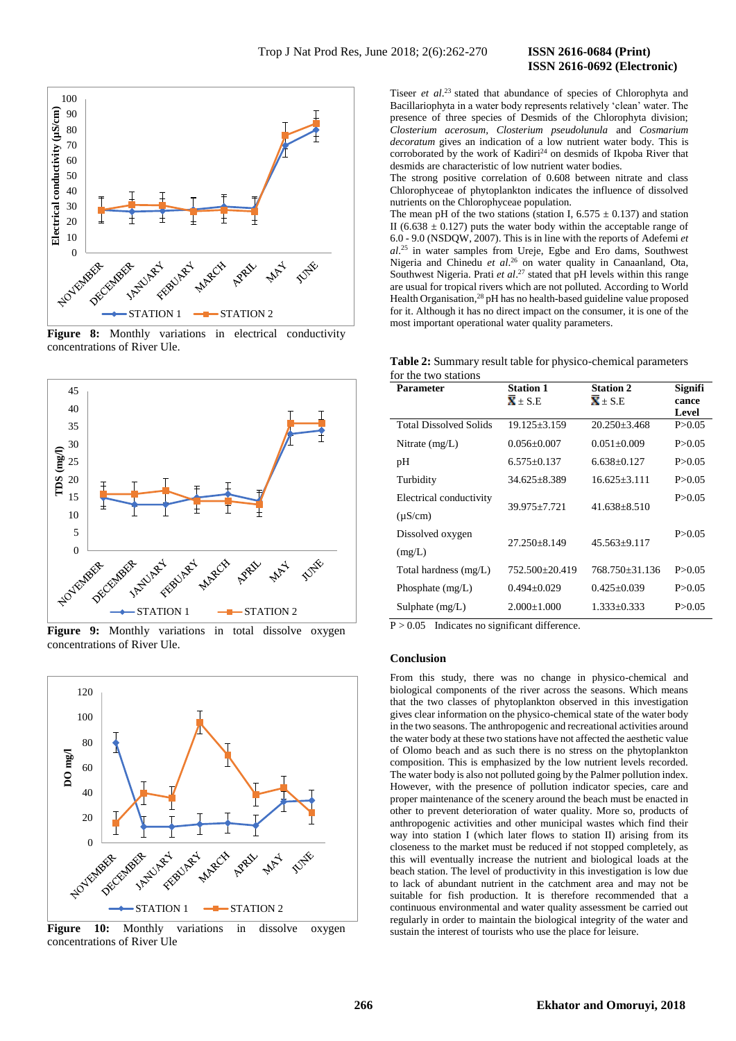# **ISSN 2616-0692 (Electronic)**



Figure 8: Monthly variations in electrical conductivity concentrations of River Ule.



Figure 9: Monthly variations in total dissolve oxygen concentrations of River Ule.



Figure 10: Monthly variations in dissolve oxygen concentrations of River Ule

Tiseer *et al.*<sup>23</sup> stated that abundance of species of Chlorophyta and Bacillariophyta in a water body represents relatively 'clean' water. The presence of three species of Desmids of the Chlorophyta division; *Closterium acerosum, Closterium pseudolunula* and *Cosmarium decoratum* gives an indication of a low nutrient water body. This is corroborated by the work of Kadiri<sup>24</sup> on desmids of Ikpoba River that desmids are characteristic of low nutrient water bodies.

The strong positive correlation of 0.608 between nitrate and class Chlorophyceae of phytoplankton indicates the influence of dissolved nutrients on the Chlorophyceae population.

The mean pH of the two stations (station I,  $6.575 \pm 0.137$ ) and station II (6.638  $\pm$  0.127) puts the water body within the acceptable range of 6.0 - 9.0 (NSDQW, 2007). This is in line with the reports of Adefemi *et al*. <sup>25</sup> in water samples from Ureje, Egbe and Ero dams, Southwest Nigeria and Chinedu *et al*. <sup>26</sup> on water quality in Canaanland, Ota, Southwest Nigeria. Prati *et al*. <sup>27</sup> stated that pH levels within this range are usual for tropical rivers which are not polluted. According to World Health Organisation,<sup>28</sup> pH has no health-based guideline value proposed for it. Although it has no direct impact on the consumer, it is one of the most important operational water quality parameters.

**Table 2:** Summary result table for physico-chemical parameters for the two stations

| Level<br>P > 0.05 |
|-------------------|
|                   |
|                   |
| P > 0.05          |
| P > 0.05          |
| P > 0.05          |
| P > 0.05          |
|                   |
| P > 0.05          |
|                   |
| P > 0.05          |
| P > 0.05          |
| P > 0.05          |
|                   |

 $P > 0.05$  Indicates no significant difference.

#### **Conclusion**

From this study, there was no change in physico-chemical and biological components of the river across the seasons. Which means that the two classes of phytoplankton observed in this investigation gives clear information on the physico-chemical state of the water body in the two seasons. The anthropogenic and recreational activities around the water body at these two stations have not affected the aesthetic value of Olomo beach and as such there is no stress on the phytoplankton composition. This is emphasized by the low nutrient levels recorded. The water body is also not polluted going by the Palmer pollution index. However, with the presence of pollution indicator species, care and proper maintenance of the scenery around the beach must be enacted in other to prevent deterioration of water quality. More so, products of anthropogenic activities and other municipal wastes which find their way into station I (which later flows to station II) arising from its closeness to the market must be reduced if not stopped completely, as this will eventually increase the nutrient and biological loads at the beach station. The level of productivity in this investigation is low due to lack of abundant nutrient in the catchment area and may not be suitable for fish production. It is therefore recommended that a continuous environmental and water quality assessment be carried out regularly in order to maintain the biological integrity of the water and sustain the interest of tourists who use the place for leisure.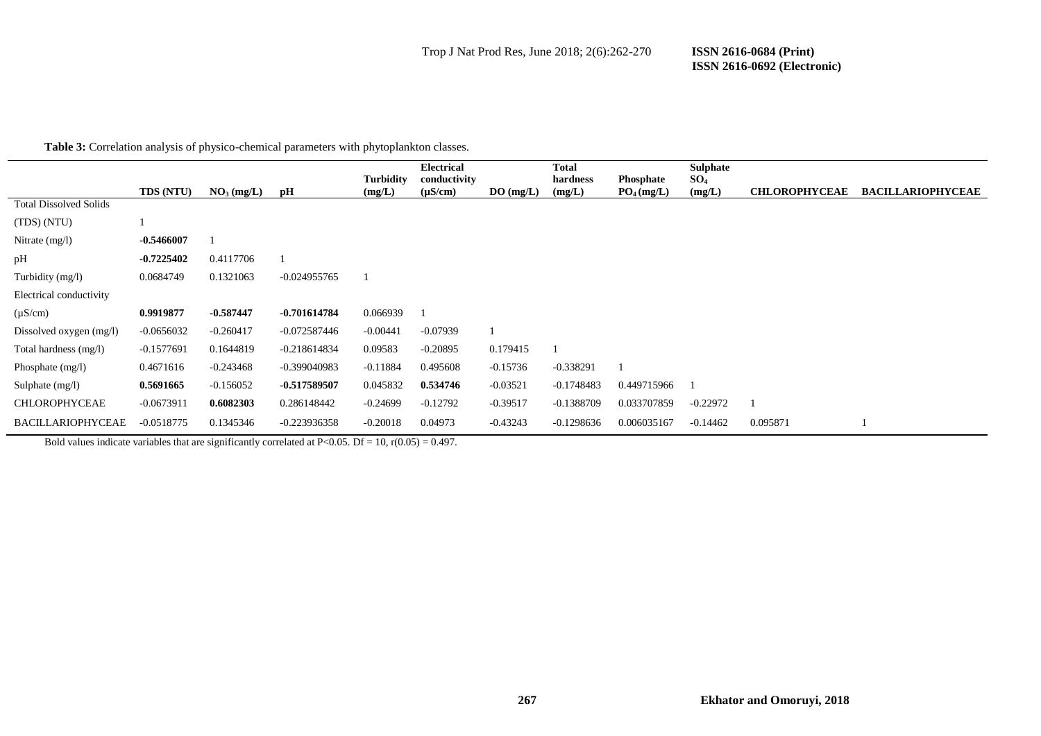**Table 3:** Correlation analysis of physico-chemical parameters with phytoplankton classes.

|                               | <b>TDS (NTU)</b> | NO <sub>3</sub> (mg/L) | pН             | <b>Turbidity</b><br>(mg/L) | <b>Electrical</b><br>conductivity<br>$(\mu S/cm)$ | DO(mg/L)   | <b>Total</b><br>hardness<br>(mg/L) | <b>Phosphate</b><br>$PO_4$ (mg/L) | <b>Sulphate</b><br>$SO_4$<br>(mg/L) | <b>CHLOROPHYCEAE</b> | <b>BACILLARIOPHYCEAE</b> |
|-------------------------------|------------------|------------------------|----------------|----------------------------|---------------------------------------------------|------------|------------------------------------|-----------------------------------|-------------------------------------|----------------------|--------------------------|
| <b>Total Dissolved Solids</b> |                  |                        |                |                            |                                                   |            |                                    |                                   |                                     |                      |                          |
| (TDS) (NTU)                   |                  |                        |                |                            |                                                   |            |                                    |                                   |                                     |                      |                          |
| Nitrate $(mg/l)$              | $-0.5466007$     |                        |                |                            |                                                   |            |                                    |                                   |                                     |                      |                          |
| pН                            | $-0.7225402$     | 0.4117706              |                |                            |                                                   |            |                                    |                                   |                                     |                      |                          |
| Turbidity (mg/l)              | 0.0684749        | 0.1321063              | $-0.024955765$ |                            |                                                   |            |                                    |                                   |                                     |                      |                          |
| Electrical conductivity       |                  |                        |                |                            |                                                   |            |                                    |                                   |                                     |                      |                          |
| $(\mu S/cm)$                  | 0.9919877        | $-0.587447$            | $-0.701614784$ | 0.066939                   |                                                   |            |                                    |                                   |                                     |                      |                          |
| Dissolved oxygen $(mg/l)$     | $-0.0656032$     | $-0.260417$            | $-0.072587446$ | $-0.00441$                 | $-0.07939$                                        |            |                                    |                                   |                                     |                      |                          |
| Total hardness (mg/l)         | $-0.1577691$     | 0.1644819              | $-0.218614834$ | 0.09583                    | $-0.20895$                                        | 0.179415   |                                    |                                   |                                     |                      |                          |
| Phosphate $(mg/l)$            | 0.4671616        | $-0.243468$            | $-0.399040983$ | $-0.11884$                 | 0.495608                                          | $-0.15736$ | $-0.338291$                        |                                   |                                     |                      |                          |
| Sulphate $(mg/l)$             | 0.5691665        | $-0.156052$            | -0.517589507   | 0.045832                   | 0.534746                                          | $-0.03521$ | $-0.1748483$                       | 0.449715966                       |                                     |                      |                          |
| <b>CHLOROPHYCEAE</b>          | $-0.0673911$     | 0.6082303              | 0.286148442    | $-0.24699$                 | $-0.12792$                                        | $-0.39517$ | $-0.1388709$                       | 0.033707859                       | $-0.22972$                          |                      |                          |
| <b>BACILLARIOPHYCEAE</b>      | $-0.0518775$     | 0.1345346              | $-0.223936358$ | $-0.20018$                 | 0.04973                                           | $-0.43243$ | $-0.1298636$                       | 0.006035167                       | $-0.14462$                          | 0.095871             |                          |

Bold values indicate variables that are significantly correlated at P<0.05. Df = 10, r(0.05) = 0.497.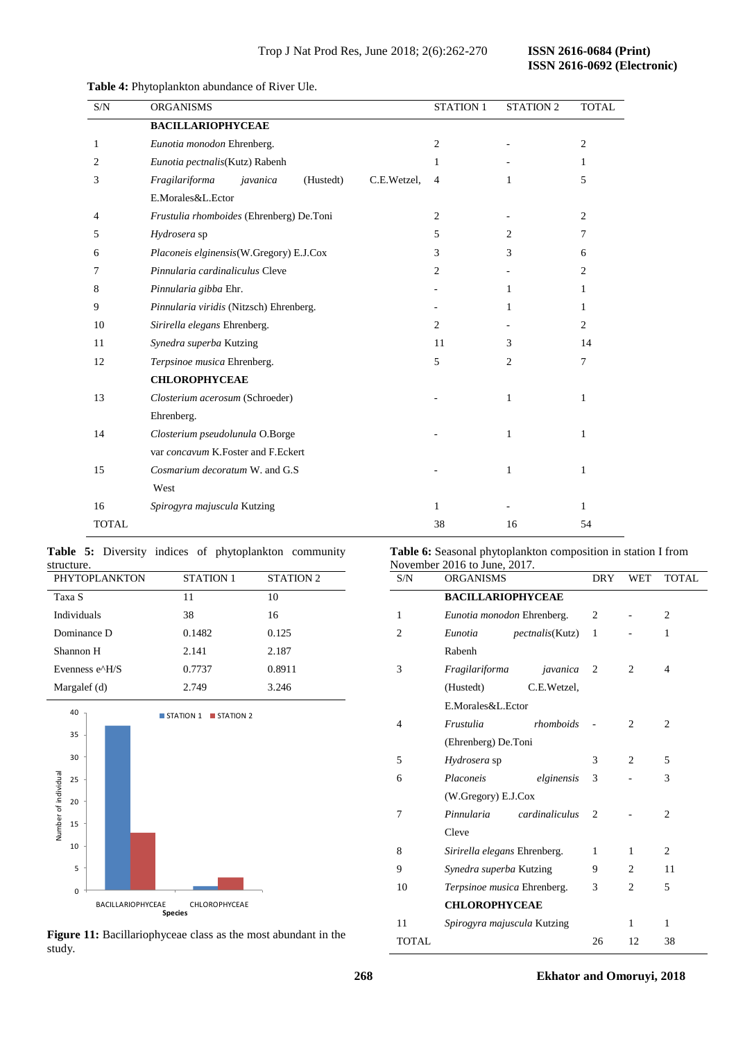| S/N          | <b>ORGANISMS</b>                                       | <b>STATION 1</b> | <b>STATION 2</b> | <b>TOTAL</b>   |
|--------------|--------------------------------------------------------|------------------|------------------|----------------|
|              | <b>BACILLARIOPHYCEAE</b>                               |                  |                  |                |
| 1            | Eunotia monodon Ehrenberg.                             | 2                |                  | 2              |
| 2            | Eunotia pectnalis(Kutz) Rabenh                         | 1                |                  | 1              |
| 3            | Fragilariforma<br>(Hustedt)<br>C.E.Wetzel.<br>javanica | $\overline{4}$   | 1                | 5              |
|              | E.Morales&L.Ector                                      |                  |                  |                |
| 4            | Frustulia rhomboides (Ehrenberg) De.Toni               | $\overline{2}$   |                  | 2              |
| 5            | Hydrosera sp                                           | 5                | 2                | 7              |
| 6            | Placoneis elginensis(W.Gregory) E.J.Cox                | 3                | 3                | 6              |
| 7            | Pinnularia cardinaliculus Cleve                        | 2                |                  | 2              |
| 8            | Pinnularia gibba Ehr.                                  |                  | $\mathbf{1}$     | $\mathbf{1}$   |
| 9            | Pinnularia viridis (Nitzsch) Ehrenberg.                |                  | 1                | $\mathbf{1}$   |
| 10           | Sirirella elegans Ehrenberg.                           | 2                |                  | $\overline{2}$ |
| 11           | Synedra superba Kutzing                                | 11               | 3                | 14             |
| 12           | Terpsinoe musica Ehrenberg.                            | 5                | 2                | 7              |
|              | <b>CHLOROPHYCEAE</b>                                   |                  |                  |                |
| 13           | Closterium acerosum (Schroeder)                        |                  | 1                | $\mathbf{1}$   |
|              | Ehrenberg.                                             |                  |                  |                |
| 14           | Closterium pseudolunula O.Borge                        |                  | 1                | 1              |
|              | var concavum K.Foster and F.Eckert                     |                  |                  |                |
| 15           | Cosmarium decoratum W. and G.S.                        |                  | $\mathbf{1}$     | 1              |
|              | West                                                   |                  |                  |                |
| 16           | Spirogyra majuscula Kutzing                            | 1                |                  | 1              |
| <b>TOTAL</b> |                                                        | 38               | 16               | 54             |

# **Table 4:** Phytoplankton abundance of River Ule.

|            |  |  | Table 5: Diversity indices of phytoplankton community |  |
|------------|--|--|-------------------------------------------------------|--|
| structure. |  |  |                                                       |  |

| <b>PHYTOPLANKTON</b> | <b>STATION 1</b> | <b>STATION 2</b> |
|----------------------|------------------|------------------|
| Taxa S               | 11               | 10               |
| Individuals          | 38               | 16               |
| Dominance D          | 0.1482           | 0.125            |
| Shannon H            | 2.141            | 2.187            |
| Evenness e^H/S       | 0.7737           | 0.8911           |
| Margalef (d)         | 2.749            | 3.246            |



**Figure 11:** Bacillariophyceae class as the most abundant in the study.

**Table 6:** Seasonal phytoplankton composition in station I from November 2016 to June, 2017.

| S/N            | $101$ chosen 2010 to stand, 2017.<br><b>ORGANISMS</b> | DRY            | WET            | <b>TOTAL</b>   |
|----------------|-------------------------------------------------------|----------------|----------------|----------------|
|                | <b>BACILLARIOPHYCEAE</b>                              |                |                |                |
| 1              | Eunotia monodon Ehrenberg.                            | 2              |                | 2              |
| $\overline{2}$ | Eunotia<br><i>pectnalis</i> (Kutz)                    | 1              |                | $\mathbf{1}$   |
|                | Rabenh                                                |                |                |                |
| 3              | Fragilariforma<br>javanica                            | 2              | 2              | 4              |
|                | (Hustedt)<br>C.E.Wetzel,                              |                |                |                |
|                | E.Morales&L.Ector                                     |                |                |                |
| 4              | Frustulia<br>rhomboids                                |                | $\overline{c}$ | 2              |
|                | (Ehrenberg) De.Toni                                   |                |                |                |
| 5              | Hydrosera sp                                          | 3              | $\overline{c}$ | 5              |
| 6              | Placoneis<br>elginensis                               | 3              |                | 3              |
|                | (W.Gregory) E.J.Cox                                   |                |                |                |
| 7              | Pinnularia<br>cardinaliculus                          | $\overline{c}$ |                | 2              |
|                | Cleve                                                 |                |                |                |
| 8              | Sirirella elegans Ehrenberg.                          | 1              | 1              | $\overline{2}$ |
| 9              | Synedra superba Kutzing                               | 9              | 2              | 11             |
| 10             | Terpsinoe musica Ehrenberg.                           | 3              | 2              | 5              |
|                | <b>CHLOROPHYCEAE</b>                                  |                |                |                |
| 11             | Spirogyra majuscula Kutzing                           |                | 1              | 1              |
| TOTAL          |                                                       | 26             | 12             | 38             |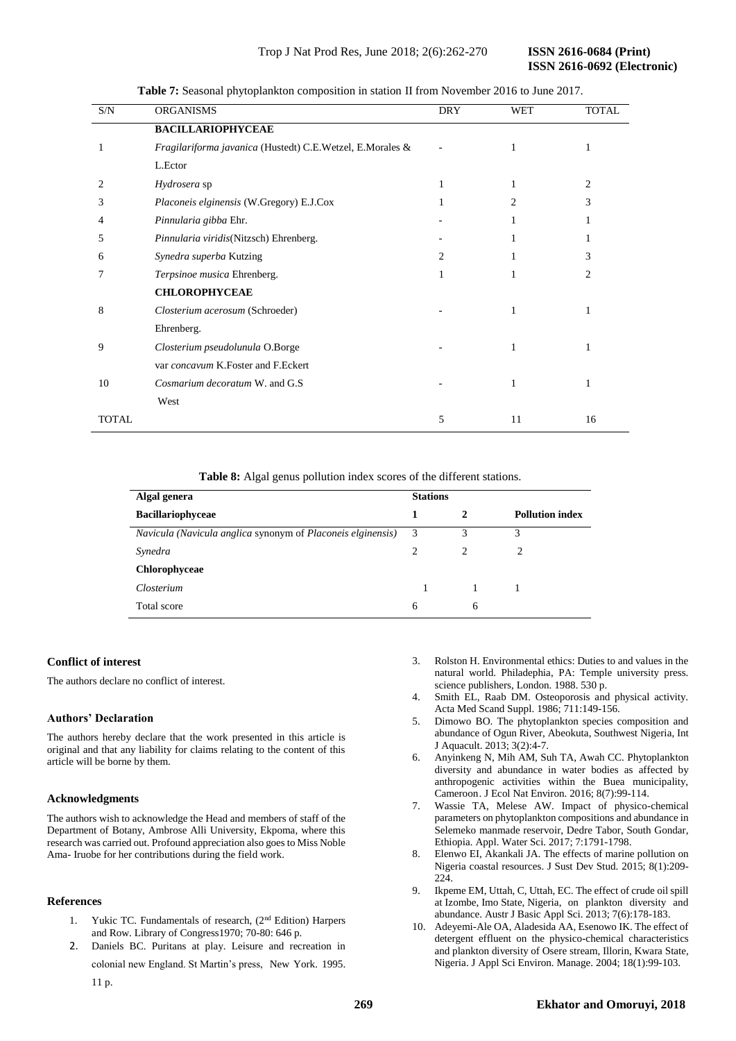**ISSN 2616-0692 (Electronic)** 

| S/N   | <b>ORGANISMS</b>                                          | <b>DRY</b> | WET | <b>TOTAL</b> |
|-------|-----------------------------------------------------------|------------|-----|--------------|
|       | <b>BACILLARIOPHYCEAE</b>                                  |            |     |              |
| 1     | Fragilariforma javanica (Hustedt) C.E.Wetzel, E.Morales & |            | 1   | 1            |
|       | L.Ector                                                   |            |     |              |
| 2.    | Hydrosera sp                                              | 1          | 1   | 2            |
| 3     | Placoneis elginensis (W.Gregory) E.J.Cox                  | 1          | 2   | 3            |
| 4     | Pinnularia gibba Ehr.                                     |            | 1   |              |
| 5     | Pinnularia viridis(Nitzsch) Ehrenberg.                    |            | 1   | 1            |
| 6     | Synedra superba Kutzing                                   | 2          | 1   | 3            |
| 7     | Terpsinoe musica Ehrenberg.                               | 1          | 1   | 2            |
|       | <b>CHLOROPHYCEAE</b>                                      |            |     |              |
| 8     | Closterium acerosum (Schroeder)                           |            | 1   | 1            |
|       | Ehrenberg.                                                |            |     |              |
| 9     | Closterium pseudolunula O.Borge                           |            | 1   | 1            |
|       | var concavum K.Foster and F.Eckert                        |            |     |              |
| 10    | Cosmarium decoratum W. and G.S                            |            | 1   | 1            |
|       | West                                                      |            |     |              |
| TOTAL |                                                           | 5          | 11  | 16           |

**Table 7:** Seasonal phytoplankton composition in station II from November 2016 to June 2017.

**Table 8:** Algal genus pollution index scores of the different stations.

| Algal genera                                                | <b>Stations</b> |               |                        |  |
|-------------------------------------------------------------|-----------------|---------------|------------------------|--|
| <b>Bacillariophyceae</b>                                    | 1               | 2             | <b>Pollution index</b> |  |
| Navicula (Navicula anglica synonym of Placoneis elginensis) | 3               | 3             | 3                      |  |
| Synedra                                                     | $\mathfrak{D}$  | $\mathcal{L}$ | 2                      |  |
| Chlorophyceae                                               |                 |               |                        |  |
| Closterium                                                  |                 |               |                        |  |
| Total score                                                 | 6               | 6             |                        |  |

# **Conflict of interest**

The authors declare no conflict of interest.

# **Authors' Declaration**

The authors hereby declare that the work presented in this article is original and that any liability for claims relating to the content of this article will be borne by them.

# **Acknowledgments**

The authors wish to acknowledge the Head and members of staff of the Department of Botany, Ambrose Alli University, Ekpoma, where this research was carried out. Profound appreciation also goes to Miss Noble Ama- Iruobe for her contributions during the field work.

# **References**

- 1. Yukic TC. Fundamentals of research, (2nd Edition) Harpers and Row. Library of Congress1970; 70-80: 646 p.
- 2. Daniels BC. Puritans at play. Leisure and recreation in colonial new England. St Martin's press, New York. 1995.
- 3. Rolston H. Environmental ethics: Duties to and values in the natural world. Philadephia, PA: Temple university press. science publishers, London. 1988. 530 p.
- 4. Smith EL, Raab DM. Osteoporosis and physical activity. Acta Med Scand Suppl. 1986; 711:149-156.
- 5. Dimowo BO. The phytoplankton species composition and abundance of Ogun River, Abeokuta, Southwest Nigeria, Int J Aquacult. 2013; 3(2):4-7.
- 6. Anyinkeng N, Mih AM, Suh TA, Awah CC. Phytoplankton diversity and abundance in water bodies as affected by anthropogenic activities within the Buea municipality, Cameroon. J Ecol Nat Environ. 2016; 8(7):99-114.
- 7. Wassie TA, Melese AW. Impact of physico-chemical parameters on phytoplankton compositions and abundance in Selemeko manmade reservoir, Dedre Tabor, South Gondar, Ethiopia*.* Appl. Water Sci. 2017; 7:1791-1798.
- 8. Elenwo EI, Akankali JA. The effects of marine pollution on Nigeria coastal resources. J Sust Dev Stud. 2015; 8(1):209-  $224$
- 9. Ikpeme EM, Uttah, C, Uttah, EC. The effect of crude oil spill at Izombe, Imo State, Nigeria, on plankton diversity and abundance. Austr J Basic Appl Sci. 2013; 7(6):178-183.
- 10. Adeyemi-Ale OA, Aladesida AA, Esenowo IK. The effect of detergent effluent on the physico-chemical characteristics and plankton diversity of Osere stream, Illorin, Kwara State, Nigeria. J Appl Sci Environ. Manage. 2004; 18(1):99-103.